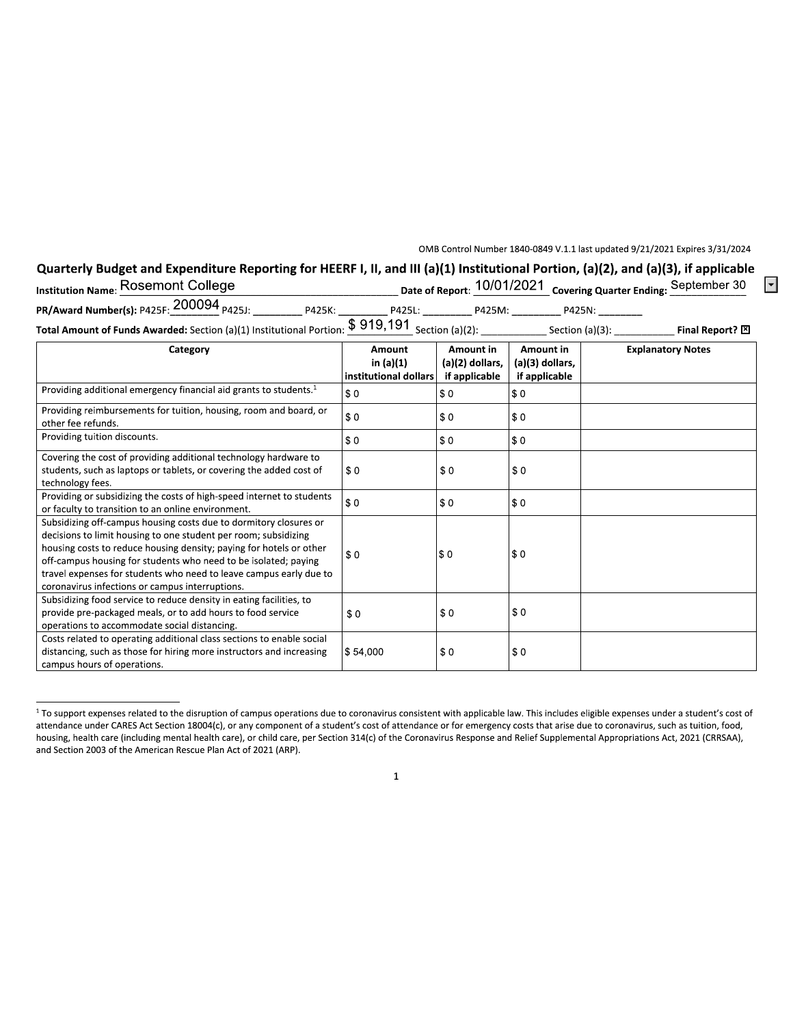OMB Control Number 1840-0849 V.1.1 last updated 9/21/2021 Expires 3/31/2024

 $\vert \textbf{I} \vert$ 

## Quarterly Budget and Expenditure Reporting for HEERF I, II, and III (a)(1) Institutional Portion, (a)(2), and (a)(3), if applicable<br>Rosemont College (a) 10/01/2021

| <b>Institution Name: Rosemont College</b>                                                              |        |        |        |                    | Date of Report: 10/01/2021 Covering Quarter Ending: September 30 |
|--------------------------------------------------------------------------------------------------------|--------|--------|--------|--------------------|------------------------------------------------------------------|
| PR/Award Number(s): P425F: 200094 <sub>P425J:</sub>                                                    | P425K: | P425L: | P425M: | P425N:             |                                                                  |
| <b>Total Amount of Funds Awarded:</b> Section (a)(1) Institutional Portion: $$919,191$ Section (a)(2): |        |        |        | Section $(a)(3)$ : | Final Report? 冈                                                  |

| TOLAI AMDUMIL OF FUNUS AWARUCU: 3CCUON (d)(1) INSULUCIONAL PORTION. The control of the section (d)(2): $\sim$ section (d)(3).                                                                                                                                                                                                                                                                           |                                                     |                                               |                                               | ت riildi Keport: ت       |
|---------------------------------------------------------------------------------------------------------------------------------------------------------------------------------------------------------------------------------------------------------------------------------------------------------------------------------------------------------------------------------------------------------|-----------------------------------------------------|-----------------------------------------------|-----------------------------------------------|--------------------------|
| Category                                                                                                                                                                                                                                                                                                                                                                                                | <b>Amount</b><br>in (a)(1)<br>institutional dollars | Amount in<br>(a)(2) dollars,<br>if applicable | Amount in<br>(a)(3) dollars,<br>if applicable | <b>Explanatory Notes</b> |
| Providing additional emergency financial aid grants to students. <sup>1</sup>                                                                                                                                                                                                                                                                                                                           | \$0                                                 | \$0                                           | \$0                                           |                          |
| Providing reimbursements for tuition, housing, room and board, or<br>other fee refunds.                                                                                                                                                                                                                                                                                                                 | \$0                                                 | \$0                                           | \$0                                           |                          |
| Providing tuition discounts.                                                                                                                                                                                                                                                                                                                                                                            | \$0                                                 | \$0                                           | \$0                                           |                          |
| Covering the cost of providing additional technology hardware to<br>students, such as laptops or tablets, or covering the added cost of<br>technology fees.                                                                                                                                                                                                                                             | \$0                                                 | \$0                                           | \$0                                           |                          |
| Providing or subsidizing the costs of high-speed internet to students<br>or faculty to transition to an online environment.                                                                                                                                                                                                                                                                             | \$0                                                 | \$0                                           | \$0                                           |                          |
| Subsidizing off-campus housing costs due to dormitory closures or<br>decisions to limit housing to one student per room; subsidizing<br>housing costs to reduce housing density; paying for hotels or other<br>off-campus housing for students who need to be isolated; paying<br>travel expenses for students who need to leave campus early due to<br>coronavirus infections or campus interruptions. | \$0                                                 | \$0                                           | \$0                                           |                          |
| Subsidizing food service to reduce density in eating facilities, to<br>provide pre-packaged meals, or to add hours to food service<br>operations to accommodate social distancing.                                                                                                                                                                                                                      | \$0                                                 | \$0                                           | \$0                                           |                          |
| Costs related to operating additional class sections to enable social<br>distancing, such as those for hiring more instructors and increasing<br>campus hours of operations.                                                                                                                                                                                                                            | \$54,000                                            | \$0                                           | \$0                                           |                          |

<sup>&</sup>lt;sup>1</sup> To support expenses related to the disruption of campus operations due to coronavirus consistent with applicable law. This includes eligible expenses under a student's cost of attendance under CARES Act Section 18004(c), or any component of a student's cost of attendance or for emergency costs that arise due to coronavirus, such as tuition, food, housing, health care (including mental health care), or child care, per Section 314(c) of the Coronavirus Response and Relief Supplemental Appropriations Act, 2021 (CRRSAA), and Section 2003 of the American Rescue Plan Act of 2021 (ARP).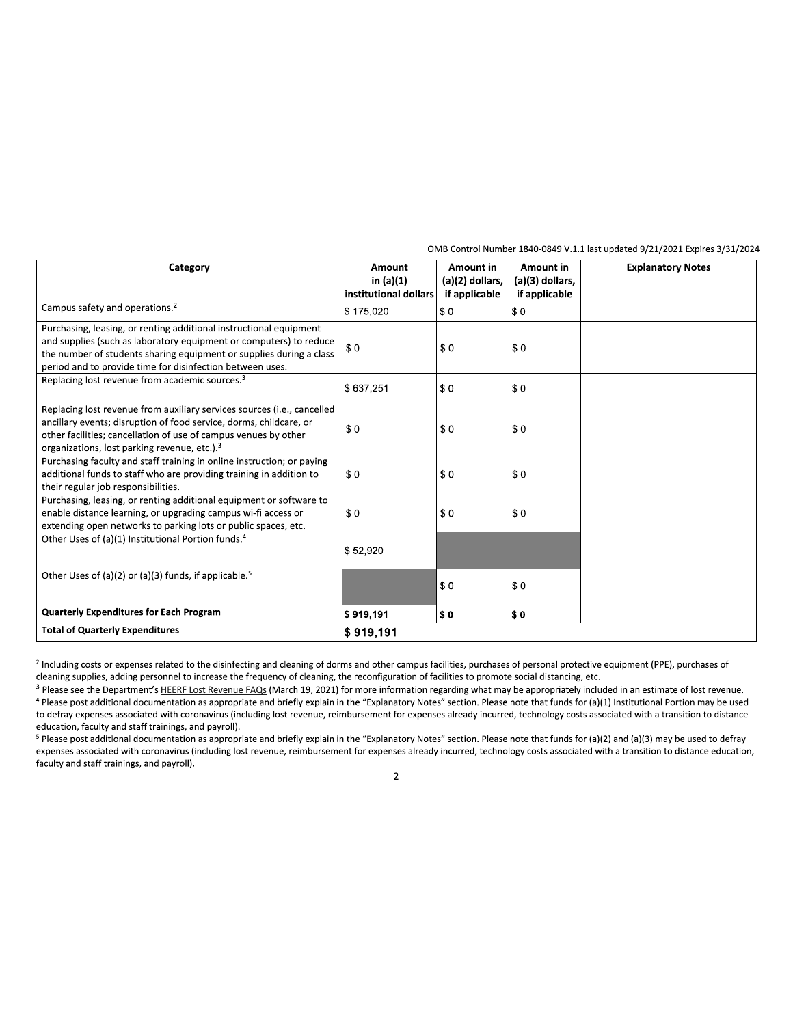| Category                                                                                                                                                                                                                                                                     | Amount<br>in $(a)(1)$<br>institutional dollars | Amount in<br>(a)(2) dollars,<br>if applicable | Amount in<br>(a)(3) dollars,<br>if applicable | <b>Explanatory Notes</b> |
|------------------------------------------------------------------------------------------------------------------------------------------------------------------------------------------------------------------------------------------------------------------------------|------------------------------------------------|-----------------------------------------------|-----------------------------------------------|--------------------------|
| Campus safety and operations. <sup>2</sup>                                                                                                                                                                                                                                   | \$175,020                                      | \$0                                           | \$0                                           |                          |
| Purchasing, leasing, or renting additional instructional equipment<br>and supplies (such as laboratory equipment or computers) to reduce<br>the number of students sharing equipment or supplies during a class<br>period and to provide time for disinfection between uses. | \$0                                            | \$0                                           | \$0                                           |                          |
| Replacing lost revenue from academic sources. <sup>3</sup>                                                                                                                                                                                                                   | \$637,251                                      | \$0                                           | \$0                                           |                          |
| Replacing lost revenue from auxiliary services sources (i.e., cancelled<br>ancillary events; disruption of food service, dorms, childcare, or<br>other facilities; cancellation of use of campus venues by other<br>organizations, lost parking revenue, etc.). <sup>3</sup> | \$0                                            | \$0                                           | \$0                                           |                          |
| Purchasing faculty and staff training in online instruction; or paying<br>additional funds to staff who are providing training in addition to<br>their regular job responsibilities.                                                                                         | \$0                                            | \$0                                           | \$0                                           |                          |
| Purchasing, leasing, or renting additional equipment or software to<br>enable distance learning, or upgrading campus wi-fi access or<br>extending open networks to parking lots or public spaces, etc.                                                                       | \$0                                            | \$0                                           | \$0                                           |                          |
| Other Uses of (a)(1) Institutional Portion funds. <sup>4</sup>                                                                                                                                                                                                               | \$52,920                                       |                                               |                                               |                          |
| Other Uses of (a)(2) or (a)(3) funds, if applicable. <sup>5</sup>                                                                                                                                                                                                            |                                                | \$0                                           | \$0                                           |                          |
| <b>Quarterly Expenditures for Each Program</b>                                                                                                                                                                                                                               | \$919,191                                      | \$0                                           | \$0                                           |                          |
| <b>Total of Quarterly Expenditures</b>                                                                                                                                                                                                                                       | \$919,191                                      |                                               |                                               |                          |

For all of Quarterly Expenditures<br>
<sup>2</sup> Including costs or expenses related to the disinfecting and cleaning of dorms and other campus facilities, purchases of personal protective equipment (PPE), purchases of<br>
cleaning su %) including costs or expenses related to the disinfecting and cleaning of dorms and other campus facilities, purchases of personal protective equipment (PPE), purchases of cleaning, the reconfiguration of facilities to pr

<sup>,</sup>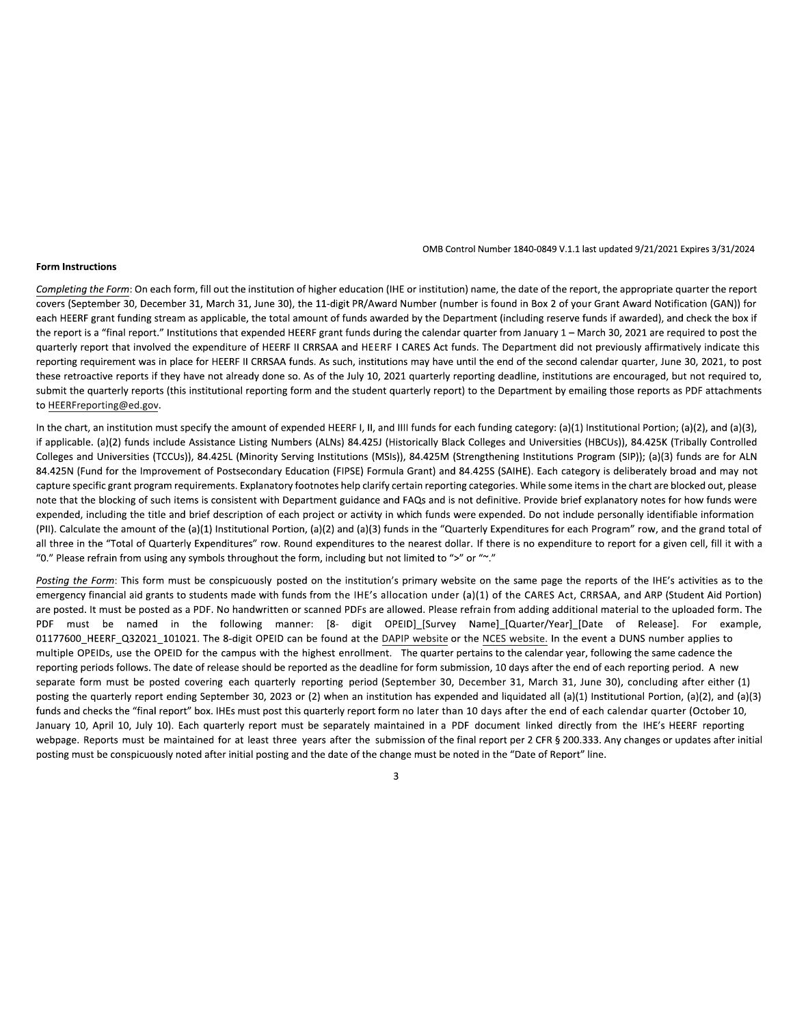## **Form Instructions**

OMB Control Number 1840-0849 V.1.1 last updated 9/21/2021 Expires 3/31/2024

Completing the Form: On each form, fill out the institution of higher education (IHE or institution) name, the date of the report, the appropriate quarter the report covers (September 30, December 31, March 31, June 30), the 11-digit PR/Award Number (number is found in Box 2 of your Grant Award Notification (GAN)) for each HEERF grant funding stream as applicable, the total amount of funds awarded by the Department (including reserve funds if awarded), and check the box if the report is a "final report." Institutions that expended HEERF grant funds during the calendar quarter from January 1 - March 30, 2021 are required to post the quarterly report that involved the expenditure of HEERF II CRRSAA and HEERF I CARES Act funds. The Department did not previously affirmatively indicate this reporting requirement was in place for HEERF II CRRSAA funds. As such, institutions may have until the end of the second calendar quarter, June 30, 2021, to post these retroactive reports if they have not already done so. As of the July 10, 2021 quarterly reporting deadline, institutions are encouraged, but not required to, submit the quarterly reports (this institutional reporting form and the student quarterly report) to the Department by emailing those reports as PDF attachments to HEERFreporting@ed.gov.

In the chart, an institution must specify the amount of expended HEERF I, II, and IIII funds for each funding category: (a)(1) Institutional Portion; (a)(2), and (a)(3), if applicable. (a)(2) funds include Assistance Listing Numbers (ALNs) 84.425J (Historically Black Colleges and Universities (HBCUs)), 84.425K (Tribally Controlled Colleges and Universities (TCCUs)), 84.425L (Minority Serving Institutions (MSIs)), 84.425M (Strengthening Institutions Program (SIP)); (a)(3) funds are for ALN 84.425N (Fund for the Improvement of Postsecondary Education (FIPSE) Formula Grant) and 84.425S (SAIHE). Each category is deliberately broad and may not capture specific grant program requirements. Explanatory footnotes help clarify certain reporting categories. While some items in the chart are blocked out, please note that the blocking of such items is consistent with Department guidance and FAQs and is not definitive. Provide brief explanatory notes for how funds were expended, including the title and brief description of each project or activity in which funds were expended. Do not include personally identifiable information (PII). Calculate the amount of the (a)(1) Institutional Portion, (a)(2) and (a)(3) funds in the "Quarterly Expenditures for each Program" row, and the grand total of all three in the "Total of Quarterly Expenditures" row. Round expenditures to the nearest dollar. If there is no expenditure to report for a given cell, fill it with a "0." Please refrain from using any symbols throughout the form, including but not limited to ">" or "~."

Posting the Form: This form must be conspicuously posted on the institution's primary website on the same page the reports of the IHE's activities as to the emergency financial aid grants to students made with funds from the IHE's allocation under (a)(1) of the CARES Act, CRRSAA, and ARP (Student Aid Portion) are posted. It must be posted as a PDF. No handwritten or scanned PDFs are allowed. Please refrain from adding additional material to the uploaded form. The PDF must be named in the following manner: [8- digit OPEID]\_[Survey Name]\_[Quarter/Year]\_[Date of Release]. For example, 01177600\_HEERF\_Q32021\_101021. The 8-digit OPEID can be found at the DAPIP website or the NCES website. In the event a DUNS number applies to multiple OPEIDs, use the OPEID for the campus with the highest enrollment. The quarter pertains to the calendar year, following the same cadence the reporting periods follows. The date of release should be reported as the deadline for form submission, 10 days after the end of each reporting period. A new separate form must be posted covering each quarterly reporting period (September 30, December 31, March 31, June 30), concluding after either (1) posting the quarterly report ending September 30, 2023 or (2) when an institution has expended and liquidated all (a)(1) Institutional Portion, (a)(2), and (a)(3) funds and checks the "final report" box. IHEs must post this quarterly report form no later than 10 days after the end of each calendar quarter (October 10, January 10, April 10, July 10). Each quarterly report must be separately maintained in a PDF document linked directly from the IHE's HEERF reporting webpage. Reports must be maintained for at least three years after the submission of the final report per 2 CFR § 200.333. Any changes or updates after initial posting must be conspicuously noted after initial posting and the date of the change must be noted in the "Date of Report" line.

 $\overline{3}$